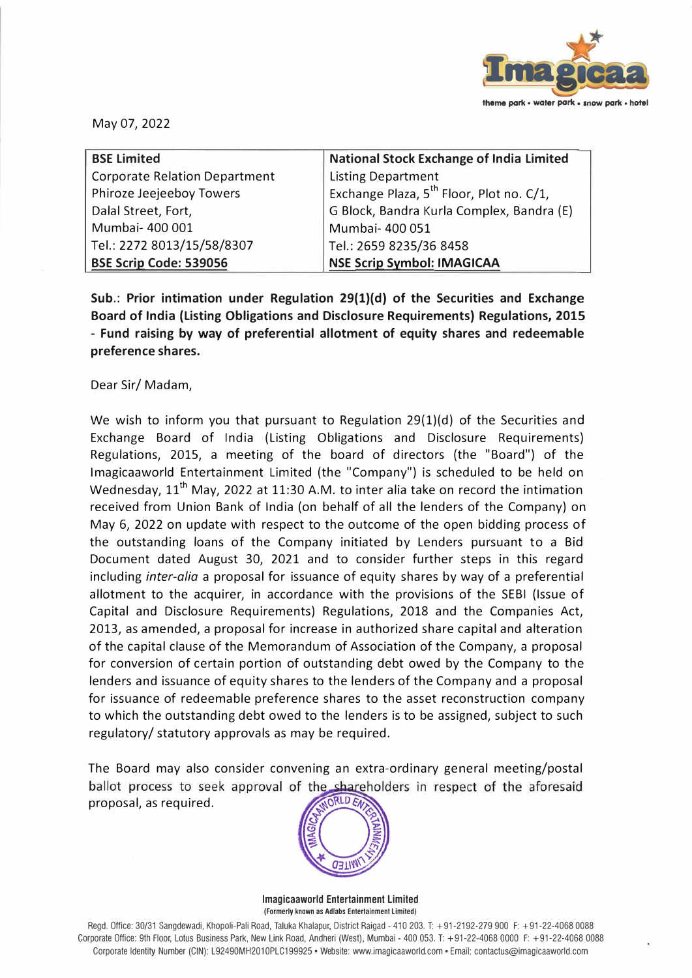

May 07, 2022

| <b>BSE Limited</b>                   | <b>National Stock Exchange of India Limited</b>      |
|--------------------------------------|------------------------------------------------------|
| <b>Corporate Relation Department</b> | <b>Listing Department</b>                            |
| Phiroze Jeejeeboy Towers             | Exchange Plaza, 5 <sup>th</sup> Floor, Plot no. C/1, |
| Dalal Street, Fort,                  | G Block, Bandra Kurla Complex, Bandra (E)            |
| Mumbai- 400 001                      | Mumbai- 400 051                                      |
| Tel.: 2272 8013/15/58/8307           | Tel.: 2659 8235/36 8458                              |
| <b>BSE Scrip Code: 539056</b>        | <b>NSE Scrip Symbol: IMAGICAA</b>                    |

**Sub.: Prior intimation under Regulation 29(1)(d) of the Securities and Exchange Board of India (Listing Obligations and Disclosure Requirements) Regulations, 2015 - Fund raising by way of preferential allotment of equity shares and redeemable preference shares.**

Dear Sir/ Madam,

We wish to inform you that pursuant to Regulation 29(1)(d) of the Securities and Exchange Board of India (Listing Obligations and Disclosure Requirements) Regulations, 2015, a meeting of the board of directors (the "Board") of the lmagicaaworld Entertainment Limited (the "Company") is scheduled to be held on Wednesday, 11<sup>th</sup> May, 2022 at 11:30 A.M. to inter alia take on record the intimation received from Union Bank of India (on behalf of all the lenders of the Company) on May 6, 2022 on update with respect to the outcome of the open bidding process of the outstanding loans of the Company initiated by Lenders pursuant to a Bid Document dated August 30, 2021 and to consider further steps in this regard including *inter-alia* a proposal for issuance of equity shares by way of a preferential allotment to the acquirer, in accordance with the provisions of the SEBI (Issue of Capital and Disclosure Requirements) Regulations, 2018 and the Companies Act, 2013, as amended, a proposal for increase in authorized share capital and alteration of the capital clause of the Memorandum of Association of the Company, a proposal for conversion of certain portion of outstanding debt owed by the Company to the lenders and issuance of equity shares to the lenders of the Company and a proposal for issuance of redeemable preference shares to the asset reconstruction company to which the outstanding debt owed to the lenders is to be assigned, subject to such regulatory/ statutory approvals as may be required.

The Board may also consider convening an extra-ordinary general meeting/postal ballot process to seek approval of the shareholders in respect of the aforesaid ORLD EA proposal, as required.



**lmagicaaworld Entertainment Limited**  (Formerly known as Adlabs Entertainment Limited)

Regd. Office: 30/31 Sangdewadi, Khopoli-Pali Road, Taluka Khalapur, District Raigad - 410 203. T: +91-2192-279 900 F: +91-22-4068 0088 Corporate Office: 9th Floor, Lotus Business Park, New Link Road, Andheri (West), Mumbai - 400 053. T: +91-22-4068 0000 F: +91-22-4068 0088 Corporate Identity Number (GIN): L92490MH201OPLC199925 • Website: www.imagicaaworld.com • Email: contactus@imagicaaworld.com